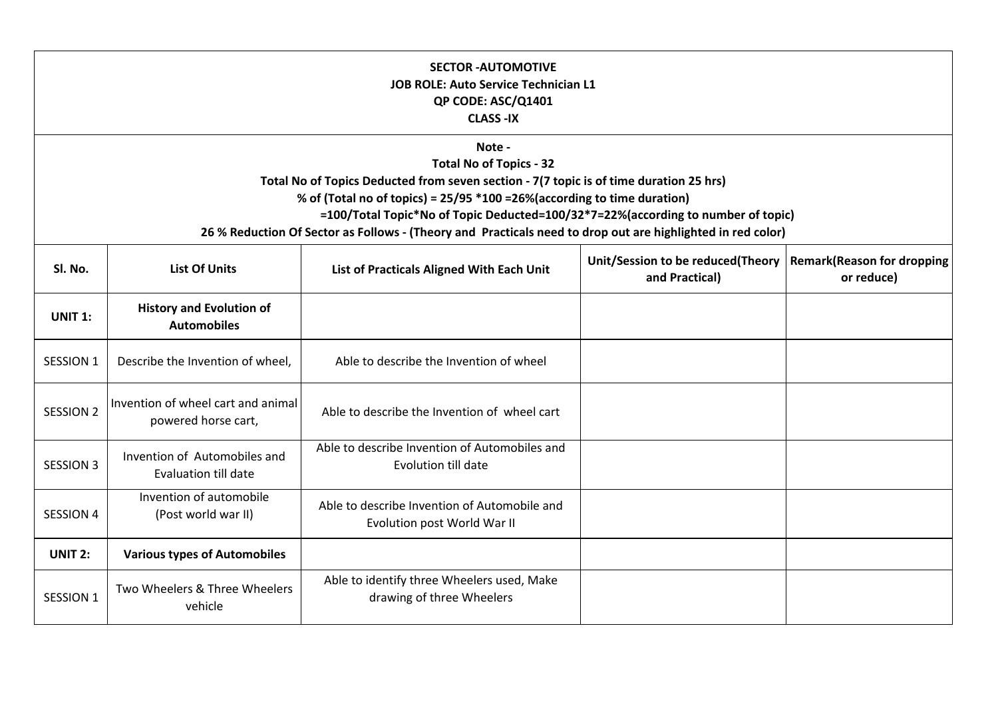| <b>SECTOR - AUTOMOTIVE</b><br><b>JOB ROLE: Auto Service Technician L1</b><br>QP CODE: ASC/Q1401<br><b>CLASS-IX</b><br>Note -<br><b>Total No of Topics - 32</b><br>Total No of Topics Deducted from seven section - 7(7 topic is of time duration 25 hrs)<br>% of (Total no of topics) = 25/95 *100 = 26% (according to time duration)<br>=100/Total Topic*No of Topic Deducted=100/32*7=22%(according to number of topic)<br>26 % Reduction Of Sector as Follows - (Theory and Practicals need to drop out are highlighted in red color) |                                                             |                                                                             |  |  |
|------------------------------------------------------------------------------------------------------------------------------------------------------------------------------------------------------------------------------------------------------------------------------------------------------------------------------------------------------------------------------------------------------------------------------------------------------------------------------------------------------------------------------------------|-------------------------------------------------------------|-----------------------------------------------------------------------------|--|--|
|                                                                                                                                                                                                                                                                                                                                                                                                                                                                                                                                          |                                                             |                                                                             |  |  |
| <b>UNIT 1:</b>                                                                                                                                                                                                                                                                                                                                                                                                                                                                                                                           | <b>History and Evolution of</b><br><b>Automobiles</b>       |                                                                             |  |  |
| SESSION 1                                                                                                                                                                                                                                                                                                                                                                                                                                                                                                                                | Describe the Invention of wheel,                            | Able to describe the Invention of wheel                                     |  |  |
| <b>SESSION 2</b>                                                                                                                                                                                                                                                                                                                                                                                                                                                                                                                         | Invention of wheel cart and animal<br>powered horse cart,   | Able to describe the Invention of wheel cart                                |  |  |
| <b>SESSION 3</b>                                                                                                                                                                                                                                                                                                                                                                                                                                                                                                                         | Invention of Automobiles and<br><b>Evaluation till date</b> | Able to describe Invention of Automobiles and<br>Evolution till date        |  |  |
| <b>SESSION 4</b>                                                                                                                                                                                                                                                                                                                                                                                                                                                                                                                         | Invention of automobile<br>(Post world war II)              | Able to describe Invention of Automobile and<br>Evolution post World War II |  |  |
| <b>UNIT 2:</b>                                                                                                                                                                                                                                                                                                                                                                                                                                                                                                                           | <b>Various types of Automobiles</b>                         |                                                                             |  |  |
| <b>SESSION 1</b>                                                                                                                                                                                                                                                                                                                                                                                                                                                                                                                         | Two Wheelers & Three Wheelers<br>vehicle                    | Able to identify three Wheelers used, Make<br>drawing of three Wheelers     |  |  |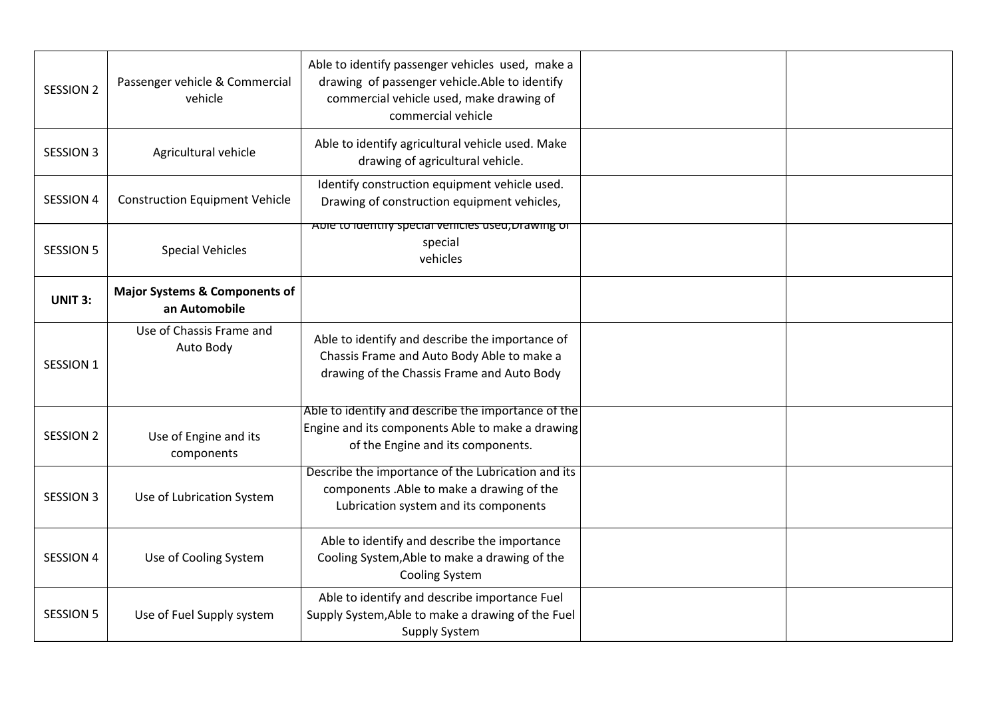| <b>SESSION 2</b> | Passenger vehicle & Commercial<br>vehicle                 | Able to identify passenger vehicles used, make a<br>drawing of passenger vehicle.Able to identify<br>commercial vehicle used, make drawing of<br>commercial vehicle |  |
|------------------|-----------------------------------------------------------|---------------------------------------------------------------------------------------------------------------------------------------------------------------------|--|
| <b>SESSION 3</b> | Agricultural vehicle                                      | Able to identify agricultural vehicle used. Make<br>drawing of agricultural vehicle.                                                                                |  |
| <b>SESSION 4</b> | <b>Construction Equipment Vehicle</b>                     | Identify construction equipment vehicle used.<br>Drawing of construction equipment vehicles,                                                                        |  |
| <b>SESSION 5</b> | <b>Special Vehicles</b>                                   | Able to identify special venicles used, brawing or<br>special<br>vehicles                                                                                           |  |
| <b>UNIT 3:</b>   | <b>Major Systems &amp; Components of</b><br>an Automobile |                                                                                                                                                                     |  |
| <b>SESSION 1</b> | Use of Chassis Frame and<br>Auto Body                     | Able to identify and describe the importance of<br>Chassis Frame and Auto Body Able to make a<br>drawing of the Chassis Frame and Auto Body                         |  |
| <b>SESSION 2</b> | Use of Engine and its<br>components                       | Able to identify and describe the importance of the<br>Engine and its components Able to make a drawing<br>of the Engine and its components.                        |  |
| <b>SESSION 3</b> | Use of Lubrication System                                 | Describe the importance of the Lubrication and its<br>components .Able to make a drawing of the<br>Lubrication system and its components                            |  |
| <b>SESSION 4</b> | Use of Cooling System                                     | Able to identify and describe the importance<br>Cooling System, Able to make a drawing of the<br><b>Cooling System</b>                                              |  |
| <b>SESSION 5</b> | Use of Fuel Supply system                                 | Able to identify and describe importance Fuel<br>Supply System, Able to make a drawing of the Fuel<br><b>Supply System</b>                                          |  |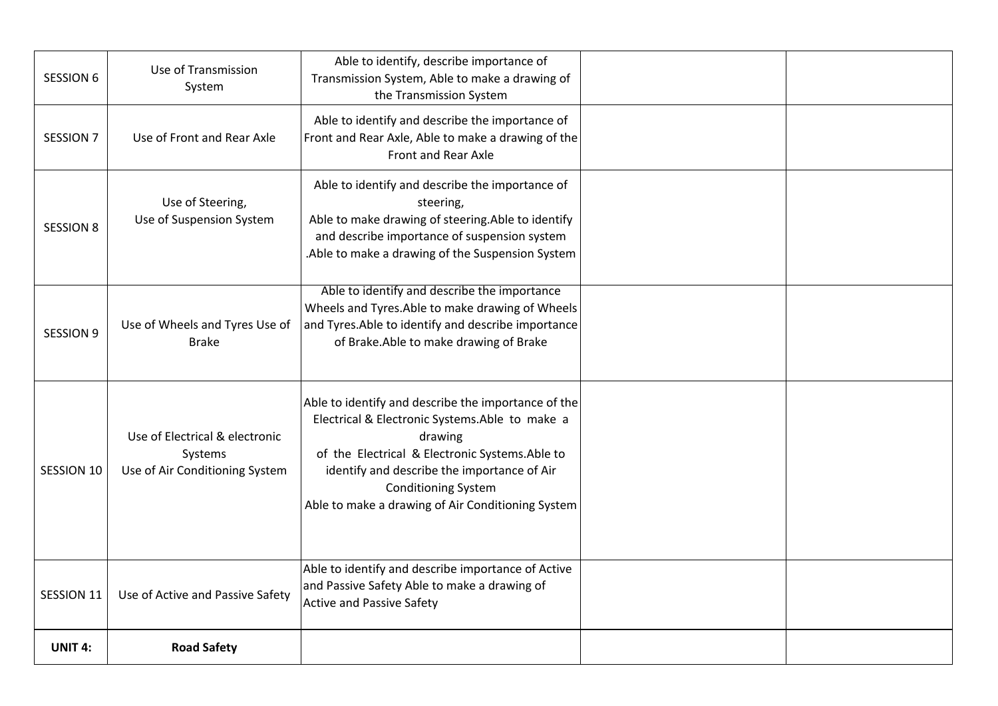| <b>SESSION 6</b> | Use of Transmission<br>System                                               | Able to identify, describe importance of<br>Transmission System, Able to make a drawing of<br>the Transmission System                                                                                                                                                                                 |  |
|------------------|-----------------------------------------------------------------------------|-------------------------------------------------------------------------------------------------------------------------------------------------------------------------------------------------------------------------------------------------------------------------------------------------------|--|
| <b>SESSION 7</b> | Use of Front and Rear Axle                                                  | Able to identify and describe the importance of<br>Front and Rear Axle, Able to make a drawing of the<br>Front and Rear Axle                                                                                                                                                                          |  |
| <b>SESSION 8</b> | Use of Steering,<br>Use of Suspension System                                | Able to identify and describe the importance of<br>steering,<br>Able to make drawing of steering. Able to identify<br>and describe importance of suspension system<br>.Able to make a drawing of the Suspension System                                                                                |  |
| <b>SESSION 9</b> | Use of Wheels and Tyres Use of<br><b>Brake</b>                              | Able to identify and describe the importance<br>Wheels and Tyres. Able to make drawing of Wheels<br>and Tyres. Able to identify and describe importance<br>of Brake.Able to make drawing of Brake                                                                                                     |  |
| SESSION 10       | Use of Electrical & electronic<br>Systems<br>Use of Air Conditioning System | Able to identify and describe the importance of the<br>Electrical & Electronic Systems.Able to make a<br>drawing<br>of the Electrical & Electronic Systems. Able to<br>identify and describe the importance of Air<br><b>Conditioning System</b><br>Able to make a drawing of Air Conditioning System |  |
| SESSION 11       | Use of Active and Passive Safety                                            | Able to identify and describe importance of Active<br>and Passive Safety Able to make a drawing of<br><b>Active and Passive Safety</b>                                                                                                                                                                |  |
| <b>UNIT 4:</b>   | <b>Road Safety</b>                                                          |                                                                                                                                                                                                                                                                                                       |  |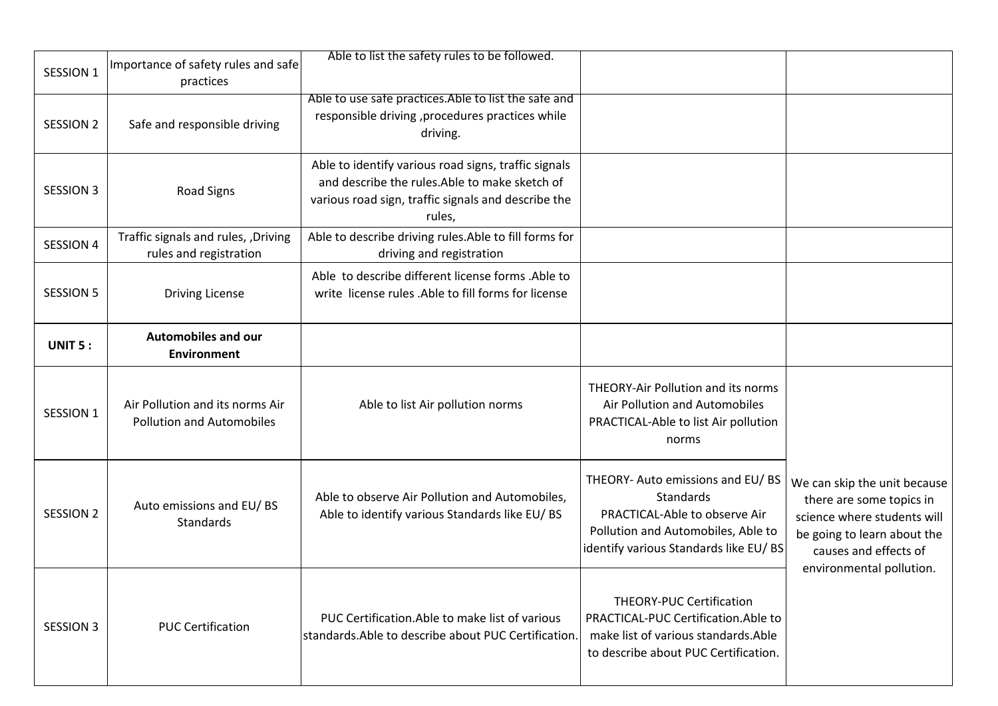| SESSION 1        | Importance of safety rules and safe<br>practices                    | Able to list the safety rules to be followed.                                                                                                                           |                                                                                                                                                               |                                                                                                                                                 |
|------------------|---------------------------------------------------------------------|-------------------------------------------------------------------------------------------------------------------------------------------------------------------------|---------------------------------------------------------------------------------------------------------------------------------------------------------------|-------------------------------------------------------------------------------------------------------------------------------------------------|
| <b>SESSION 2</b> | Safe and responsible driving                                        | Able to use safe practices. Able to list the safe and<br>responsible driving , procedures practices while<br>driving.                                                   |                                                                                                                                                               |                                                                                                                                                 |
| <b>SESSION 3</b> | Road Signs                                                          | Able to identify various road signs, traffic signals<br>and describe the rules. Able to make sketch of<br>various road sign, traffic signals and describe the<br>rules, |                                                                                                                                                               |                                                                                                                                                 |
| <b>SESSION 4</b> | Traffic signals and rules, , Driving<br>rules and registration      | Able to describe driving rules. Able to fill forms for<br>driving and registration                                                                                      |                                                                                                                                                               |                                                                                                                                                 |
| <b>SESSION 5</b> | <b>Driving License</b>                                              | Able to describe different license forms .Able to<br>write license rules .Able to fill forms for license                                                                |                                                                                                                                                               |                                                                                                                                                 |
| UNIT 5:          | Automobiles and our<br><b>Environment</b>                           |                                                                                                                                                                         |                                                                                                                                                               |                                                                                                                                                 |
| SESSION 1        | Air Pollution and its norms Air<br><b>Pollution and Automobiles</b> | Able to list Air pollution norms                                                                                                                                        | <b>THEORY-Air Pollution and its norms</b><br>Air Pollution and Automobiles<br>PRACTICAL-Able to list Air pollution<br>norms                                   |                                                                                                                                                 |
| <b>SESSION 2</b> | Auto emissions and EU/BS<br><b>Standards</b>                        | Able to observe Air Pollution and Automobiles,<br>Able to identify various Standards like EU/BS                                                                         | THEORY- Auto emissions and EU/BS<br>Standards<br>PRACTICAL-Able to observe Air<br>Pollution and Automobiles, Able to<br>identify various Standards like EU/BS | We can skip the unit because<br>there are some topics in<br>science where students will<br>be going to learn about the<br>causes and effects of |
| <b>SESSION 3</b> | <b>PUC Certification</b>                                            | PUC Certification. Able to make list of various<br>standards.Able to describe about PUC Certification.                                                                  | <b>THEORY-PUC Certification</b><br>PRACTICAL-PUC Certification.Able to<br>make list of various standards. Able<br>to describe about PUC Certification.        | environmental pollution.                                                                                                                        |